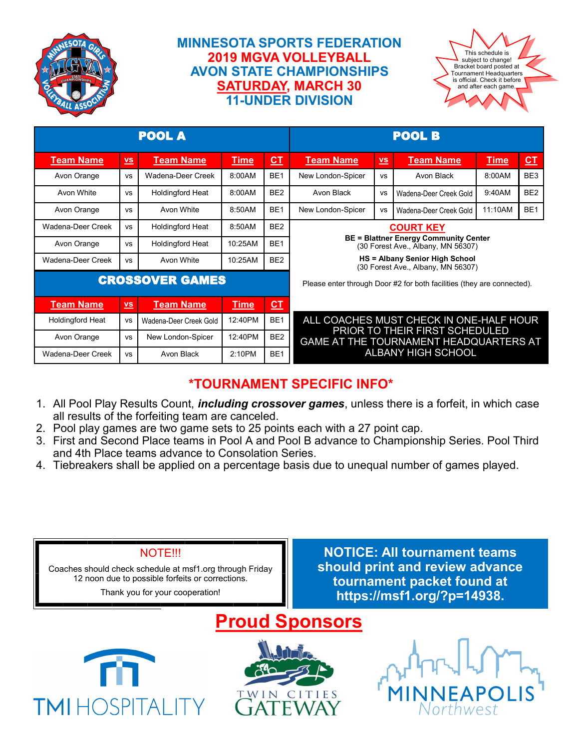

### **MINNESOTA SPORTS FEDERATION 2019 MGVA VOLLEYBALL AVON STATE CHAMPIONSHIPS SATURDAY, MARCH 30 11-UNDER DIVISION**



| <b>POOL A</b>           |                           |                         |             |                 | <b>POOL B</b>                                                                                                                                                                  |                           |                        |             |                         |
|-------------------------|---------------------------|-------------------------|-------------|-----------------|--------------------------------------------------------------------------------------------------------------------------------------------------------------------------------|---------------------------|------------------------|-------------|-------------------------|
| <b>Team Name</b>        | $\underline{\mathsf{vs}}$ | <u>Team Name</u>        | <b>Time</b> | $CT$            | <b>Team Name</b>                                                                                                                                                               | $\underline{\mathsf{vs}}$ | <b>Team Name</b>       | <u>Time</u> | $\underline{\text{CT}}$ |
| Avon Orange             | <b>VS</b>                 | Wadena-Deer Creek       | 8:00AM      | BE <sub>1</sub> | New London-Spicer                                                                                                                                                              | <b>VS</b>                 | Avon Black             | 8:00AM      | BE <sub>3</sub>         |
| Avon White              | <b>VS</b>                 | <b>Holdingford Heat</b> | 8:00AM      | BE <sub>2</sub> | Avon Black                                                                                                                                                                     | VS                        | Wadena-Deer Creek Gold | 9:40AM      | BE <sub>2</sub>         |
| Avon Orange             | <b>VS</b>                 | Avon White              | 8:50AM      | BE <sub>1</sub> | New London-Spicer                                                                                                                                                              | <b>VS</b>                 | Wadena-Deer Creek Gold | 11:10AM     | BE <sub>1</sub>         |
| Wadena-Deer Creek       | <b>VS</b>                 | <b>Holdingford Heat</b> | 8:50AM      | BE <sub>2</sub> | <b>COURT KEY</b><br><b>BE = Blattner Energy Community Center</b><br>(30 Forest Ave., Albany, MN 56307)<br>HS = Albany Senior High School<br>(30 Forest Ave., Albany, MN 56307) |                           |                        |             |                         |
| Avon Orange             | <b>VS</b>                 | <b>Holdingford Heat</b> | 10:25AM     | BF <sub>1</sub> |                                                                                                                                                                                |                           |                        |             |                         |
| Wadena-Deer Creek       | <b>VS</b>                 | Avon White              | 10:25AM     | BE <sub>2</sub> |                                                                                                                                                                                |                           |                        |             |                         |
| <b>CROSSOVER GAMES</b>  |                           |                         |             |                 | Please enter through Door #2 for both facilities (they are connected).                                                                                                         |                           |                        |             |                         |
| <b>Team Name</b>        | $\underline{\mathsf{vs}}$ | <b>Team Name</b>        | <b>Time</b> | <u>CT</u>       |                                                                                                                                                                                |                           |                        |             |                         |
| <b>Holdingford Heat</b> | <b>VS</b>                 | Wadena-Deer Creek Gold  | 12:40PM     | BE <sub>1</sub> | ALL COACHES MUST CHECK IN ONE-HALF HOUR<br>PRIOR TO THEIR FIRST SCHEDULED<br><b>GAME AT THE TOURNAMENT HEADQUARTERS AT</b><br><b>ALBANY HIGH SCHOOL</b>                        |                           |                        |             |                         |
| Avon Orange             | <b>VS</b>                 | New London-Spicer       | 12:40PM     | BE <sub>2</sub> |                                                                                                                                                                                |                           |                        |             |                         |
| Wadena-Deer Creek       | <b>VS</b>                 | Avon Black              | 2:10PM      | BE <sub>1</sub> |                                                                                                                                                                                |                           |                        |             |                         |

## **\*TOURNAMENT SPECIFIC INFO\***

- 1. All Pool Play Results Count, *including crossover games*, unless there is a forfeit, in which case all results of the forfeiting team are canceled.
- 2. Pool play games are two game sets to 25 points each with a 27 point cap.
- 3. First and Second Place teams in Pool A and Pool B advance to Championship Series. Pool Third and 4th Place teams advance to Consolation Series.
- 4. Tiebreakers shall be applied on a percentage basis due to unequal number of games played.

#### NOTE!!!

Coaches should check schedule at msf1.org through Friday 12 noon due to possible forfeits or corrections.

Thank you for your cooperation!

**NOTICE: All tournament teams should print and review advance tournament packet found at https://msf1.org/?p=14938.**





**TWIN** 

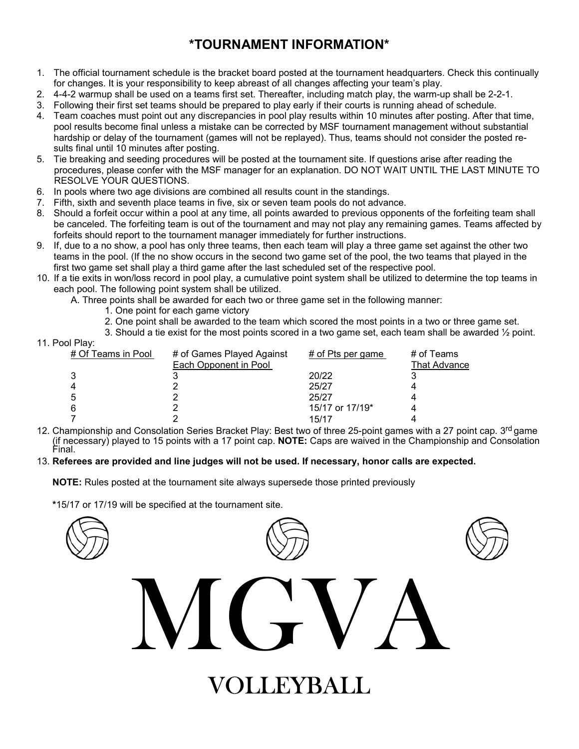## **\*TOURNAMENT INFORMATION\***

- 1. The official tournament schedule is the bracket board posted at the tournament headquarters. Check this continually for changes. It is your responsibility to keep abreast of all changes affecting your team's play.
- 2. 4-4-2 warmup shall be used on a teams first set. Thereafter, including match play, the warm-up shall be 2-2-1.
- 3. Following their first set teams should be prepared to play early if their courts is running ahead of schedule.
- 4. Team coaches must point out any discrepancies in pool play results within 10 minutes after posting. After that time, pool results become final unless a mistake can be corrected by MSF tournament management without substantial hardship or delay of the tournament (games will not be replayed). Thus, teams should not consider the posted results final until 10 minutes after posting.
- 5. Tie breaking and seeding procedures will be posted at the tournament site. If questions arise after reading the procedures, please confer with the MSF manager for an explanation. DO NOT WAIT UNTIL THE LAST MINUTE TO RESOLVE YOUR QUESTIONS.
- 6. In pools where two age divisions are combined all results count in the standings.
- 7. Fifth, sixth and seventh place teams in five, six or seven team pools do not advance.
- 8. Should a forfeit occur within a pool at any time, all points awarded to previous opponents of the forfeiting team shall be canceled. The forfeiting team is out of the tournament and may not play any remaining games. Teams affected by forfeits should report to the tournament manager immediately for further instructions.
- 9. If, due to a no show, a pool has only three teams, then each team will play a three game set against the other two teams in the pool. (If the no show occurs in the second two game set of the pool, the two teams that played in the first two game set shall play a third game after the last scheduled set of the respective pool.
- 10. If a tie exits in won/loss record in pool play, a cumulative point system shall be utilized to determine the top teams in each pool. The following point system shall be utilized.
	- A. Three points shall be awarded for each two or three game set in the following manner:
		- 1. One point for each game victory
		- 2. One point shall be awarded to the team which scored the most points in a two or three game set.
		- 3. Should a tie exist for the most points scored in a two game set, each team shall be awarded ½ point.

| 11. Pool Play:     |                                                    |                     |                                   |
|--------------------|----------------------------------------------------|---------------------|-----------------------------------|
| # Of Teams in Pool | # of Games Played Against<br>Each Opponent in Pool | $#$ of Pts per game | # of Teams<br><b>That Advance</b> |
|                    |                                                    | 20/22               |                                   |
|                    |                                                    | 25/27               |                                   |
| 5                  |                                                    | 25/27               |                                   |
| 6                  |                                                    | 15/17 or 17/19*     |                                   |
|                    |                                                    | 15/17               |                                   |

12. Championship and Consolation Series Bracket Play: Best two of three 25-point games with a 27 point cap. 3<sup>rd</sup> game (if necessary) played to 15 points with a 17 point cap. **NOTE:** Caps are waived in the Championship and Consolation Final.

#### 13. **Referees are provided and line judges will not be used. If necessary, honor calls are expected.**

**NOTE:** Rules posted at the tournament site always supersede those printed previously

**\***15/17 or 17/19 will be specified at the tournament site.

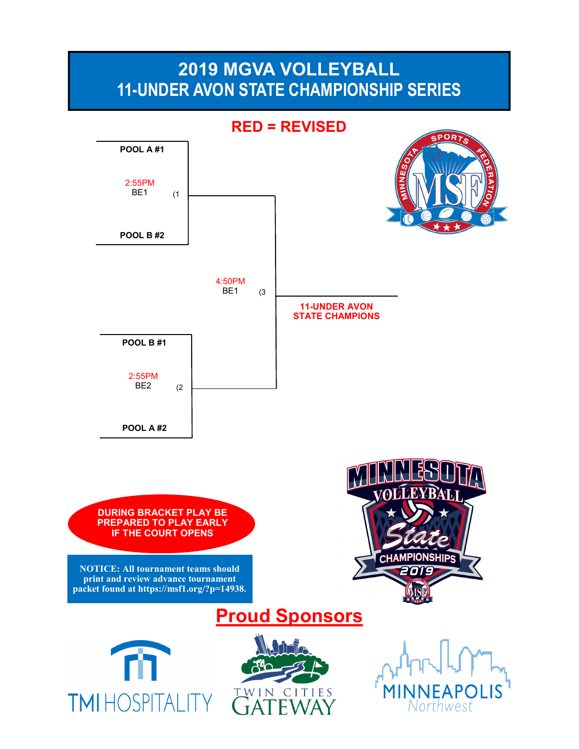# **2019 MGVA VOLLEYBALL 11-UNDER AVON STATE CHAMPIONSHIP SERIES**

**RED = REVISEDPOOL A #1** 2:55PM BE1 (1 **POOL B #2** 4:50PM BE1 (3 **11-UNDER AVON STATE CHAMPIONS POOL B #1** 2:55PM BE2 (2 **POOL A #2 DURING BRACKET PLAY BE PREPARED TO PLAY EARLY IF THE COURT OPENS CHAMPIONSHIPS NOTICE: All tournament teams should print and review advance tournament packet found at https://msf1.org/?p=14938. Proud Sponsors**

**TMIHOSPITALIT** 

TWIN CITIES

Northwest